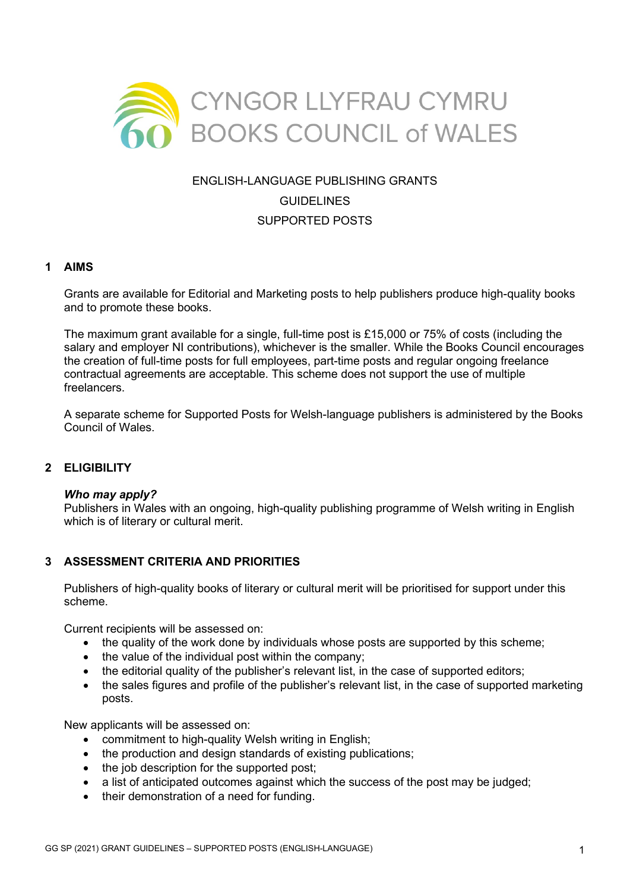

# ENGLISH-LANGUAGE PUBLISHING GRANTS GUIDELINES SUPPORTED POSTS

#### **1 AIMS**

Grants are available for Editorial and Marketing posts to help publishers produce high-quality books and to promote these books.

The maximum grant available for a single, full-time post is £15,000 or 75% of costs (including the salary and employer NI contributions), whichever is the smaller. While the Books Council encourages the creation of full-time posts for full employees, part-time posts and regular ongoing freelance contractual agreements are acceptable. This scheme does not support the use of multiple freelancers.

A separate scheme for Supported Posts for Welsh-language publishers is administered by the Books Council of Wales.

#### **2 ELIGIBILITY**

#### *Who may apply?*

Publishers in Wales with an ongoing, high-quality publishing programme of Welsh writing in English which is of literary or cultural merit.

#### **3 ASSESSMENT CRITERIA AND PRIORITIES**

Publishers of high-quality books of literary or cultural merit will be prioritised for support under this scheme.

Current recipients will be assessed on:

- the quality of the work done by individuals whose posts are supported by this scheme;
- the value of the individual post within the company;
- the editorial quality of the publisher's relevant list, in the case of supported editors;
- the sales figures and profile of the publisher's relevant list, in the case of supported marketing posts.

New applicants will be assessed on:

- commitment to high-quality Welsh writing in English;
- the production and design standards of existing publications;
- the job description for the supported post;
- a list of anticipated outcomes against which the success of the post may be judged;
- their demonstration of a need for funding.